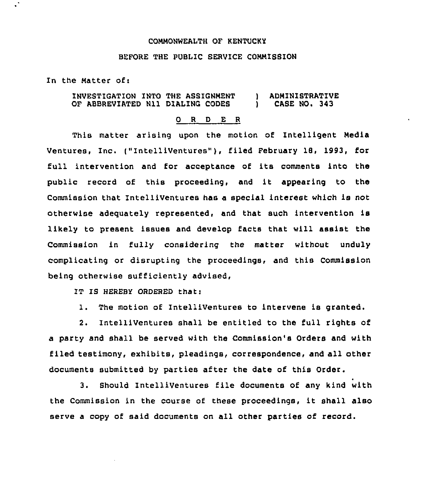## COMMONWEALTH OF KENTUCKY

## BEFORE THE PUBLIC SERVICE COMMISSION

In the Matter of:

INVESTIGATION INTO THE ASSIGNMENT ) ADMINISTRATIVE OF ABBREVIATED N11 DIALING CODES

## 0 <sup>R</sup> <sup>D</sup> E <sup>R</sup>

This matter arising upon the motion of Intelligent Media Ventures, Inc. ("Intelliventures"}, filed February 18, 1993, for full intervention and for acceptance of its comments into the public record of this proceeding, and it appearing to the Commission that IntelliVentures has a special interest which is not otherwise adequately represented, and that such intervention is likely to present issues and develop facts that will assist the Commission in fully considering the matter without unduly complicating or disrupting the proceedings, and this Commission being otherwise sufficiently advised,

IT IS HEREBY ORDERED that:

1. The motion of IntelliVentures to intervene is granted.

2. IntelliVentures shall be entitled to the full rights of a party and shall be served with the Commission's Orders and with filed testimony, exhibits, pleadings, correspondence, and all other documents submitted by parties after the date of this Order.

3. Should IntelliVentures file documents of any kind with the Commission in the course of these proceedings, it shall also serve <sup>a</sup> copy of said documents on all other parties of record.